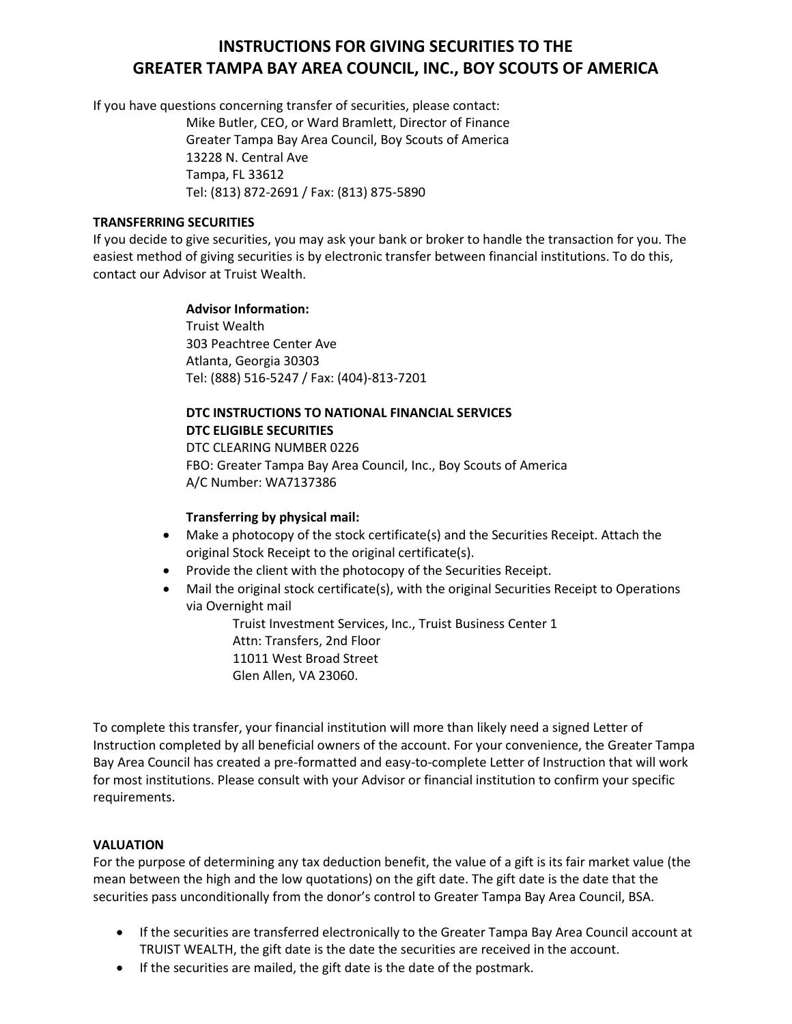# **INSTRUCTIONS FOR GIVING SECURITIES TO THE GREATER TAMPA BAY AREA COUNCIL, INC., BOY SCOUTS OF AMERICA**

If you have questions concerning transfer of securities, please contact:

Mike Butler, CEO, or Ward Bramlett, Director of Finance Greater Tampa Bay Area Council, Boy Scouts of America 13228 N. Central Ave Tampa, FL 33612 Tel: (813) 872-2691 / Fax: (813) 875-5890

### **TRANSFERRING SECURITIES**

If you decide to give securities, you may ask your bank or broker to handle the transaction for you. The easiest method of giving securities is by electronic transfer between financial institutions. To do this, contact our Advisor at Truist Wealth.

### **Advisor Information:**

Truist Wealth 303 Peachtree Center Ave Atlanta, Georgia 30303 Tel: (888) 516-5247 / Fax: (404)-813-7201

# **DTC INSTRUCTIONS TO NATIONAL FINANCIAL SERVICES DTC ELIGIBLE SECURITIES**

DTC CLEARING NUMBER 0226 FBO: Greater Tampa Bay Area Council, Inc., Boy Scouts of America A/C Number: WA7137386

## **Transferring by physical mail:**

- Make a photocopy of the stock certificate(s) and the Securities Receipt. Attach the original Stock Receipt to the original certificate(s).
- Provide the client with the photocopy of the Securities Receipt.
- Mail the original stock certificate(s), with the original Securities Receipt to Operations via Overnight mail

Truist Investment Services, Inc., Truist Business Center 1 Attn: Transfers, 2nd Floor 11011 West Broad Street Glen Allen, VA 23060.

To complete this transfer, your financial institution will more than likely need a signed Letter of Instruction completed by all beneficial owners of the account. For your convenience, the Greater Tampa Bay Area Council has created a pre-formatted and easy-to-complete Letter of Instruction that will work for most institutions. Please consult with your Advisor or financial institution to confirm your specific requirements.

### **VALUATION**

For the purpose of determining any tax deduction benefit, the value of a gift is its fair market value (the mean between the high and the low quotations) on the gift date. The gift date is the date that the securities pass unconditionally from the donor's control to Greater Tampa Bay Area Council, BSA.

- If the securities are transferred electronically to the Greater Tampa Bay Area Council account at TRUIST WEALTH, the gift date is the date the securities are received in the account.
- If the securities are mailed, the gift date is the date of the postmark.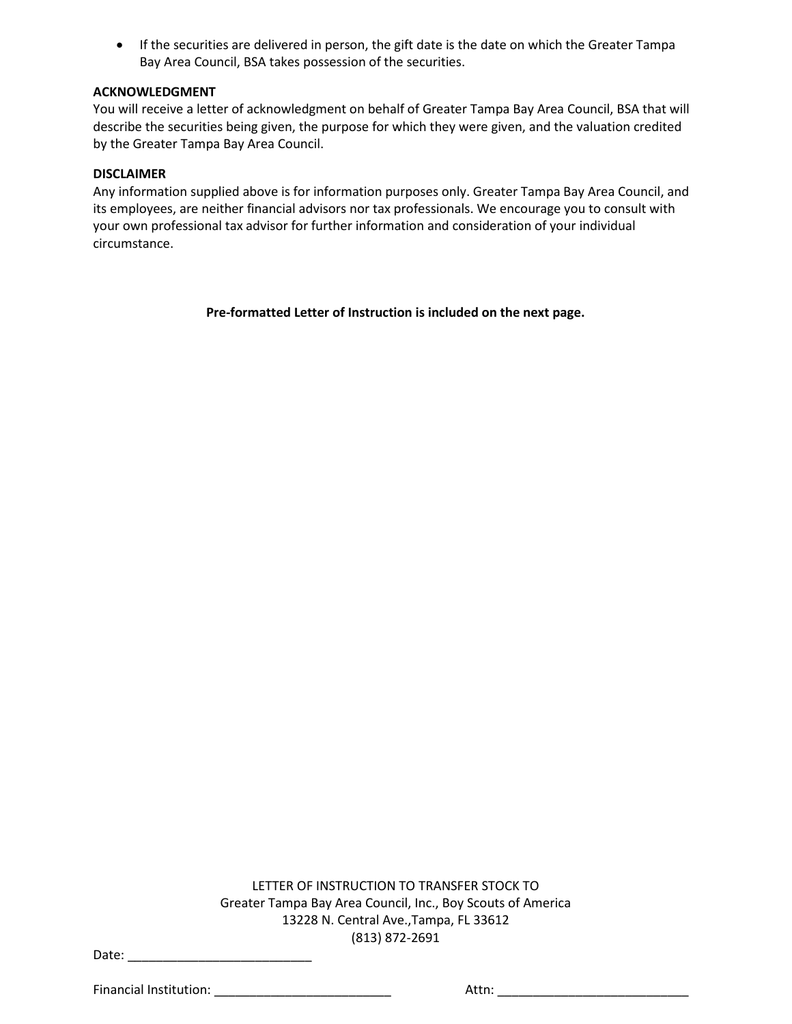• If the securities are delivered in person, the gift date is the date on which the Greater Tampa Bay Area Council, BSA takes possession of the securities.

#### **ACKNOWLEDGMENT**

You will receive a letter of acknowledgment on behalf of Greater Tampa Bay Area Council, BSA that will describe the securities being given, the purpose for which they were given, and the valuation credited by the Greater Tampa Bay Area Council.

#### **DISCLAIMER**

Any information supplied above is for information purposes only. Greater Tampa Bay Area Council, and its employees, are neither financial advisors nor tax professionals. We encourage you to consult with your own professional tax advisor for further information and consideration of your individual circumstance.

**Pre-formatted Letter of Instruction is included on the next page.**

LETTER OF INSTRUCTION TO TRANSFER STOCK TO Greater Tampa Bay Area Council, Inc., Boy Scouts of America 13228 N. Central Ave.,Tampa, FL 33612 (813) 872-2691

Date: \_\_\_\_\_\_\_\_\_\_\_\_\_\_\_\_\_\_\_\_\_\_\_\_\_\_

Financial Institution: The contraction of the contraction of the contraction of the contraction of the contraction of the contraction of the contraction of the contraction of the contraction of the contraction of the contr